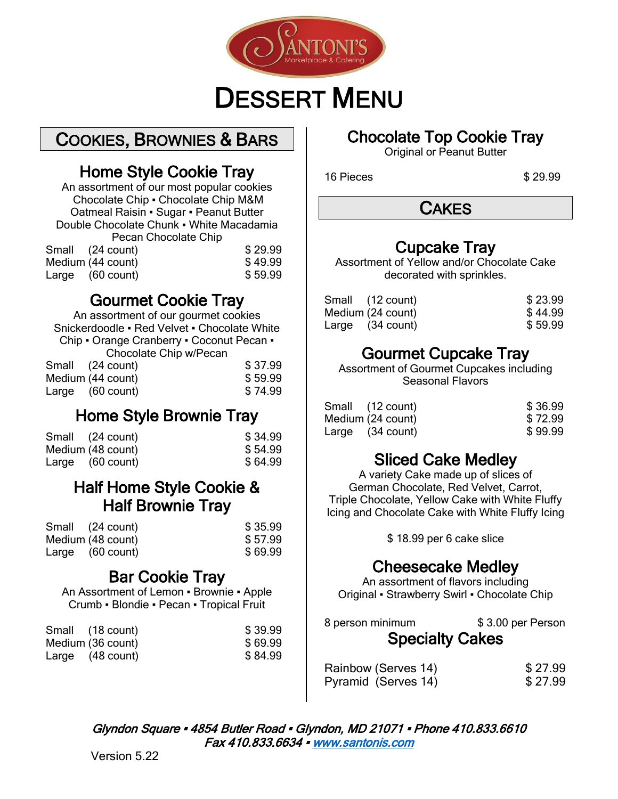

# DESSERT MENU

COOKIES, BROWNIES & BARS

## Home Style Cookie Tray

An assortment of our most popular cookies Chocolate Chip ▪ Chocolate Chip M&M Oatmeal Raisin ▪ Sugar ▪ Peanut Butter Double Chocolate Chunk ▪ White Macadamia Pecan Chocolate Chip

| Small (24 count)  | \$29.99 |
|-------------------|---------|
| Medium (44 count) | \$49.99 |
| Large (60 count)  | \$59.99 |

## Gourmet Cookie Tray

An assortment of our gourmet cookies Snickerdoodle ▪ Red Velvet ▪ Chocolate White Chip • Orange Cranberry • Coconut Pecan • Chocolate Chip w/Pecan Small (24 count) \$ 37.99

| Medium (44 count) | \$59.99 |
|-------------------|---------|
| Large (60 count)  | \$74.99 |

## Home Style Brownie Tray

| Small (24 count)  | \$34.99 |
|-------------------|---------|
| Medium (48 count) | \$54.99 |
| Large (60 count)  | \$64.99 |

#### Half Home Style Cookie & Half Brownie Tray

| Small (24 count)  | \$35.99 |
|-------------------|---------|
| Medium (48 count) | \$57.99 |
| Large (60 count)  | \$69.99 |

## Bar Cookie Tray

An Assortment of Lemon ▪ Brownie ▪ Apple Crumb ▪ Blondie ▪ Pecan ▪ Tropical Fruit

| Small (18 count)  | \$39.99 |
|-------------------|---------|
| Medium (36 count) | \$69.99 |
| Large (48 count)  | \$84.99 |

## Chocolate Top Cookie Tray

Original or Peanut Butter

16 Pieces \$ 29.99

**CAKES** 

## Cupcake Tray

Assortment of Yellow and/or Chocolate Cake decorated with sprinkles.

| Small (12 count)  | \$23.99 |
|-------------------|---------|
| Medium (24 count) | \$44.99 |
| Large (34 count)  | \$59.99 |

## Gourmet Cupcake Tray

Assortment of Gourmet Cupcakes including Seasonal Flavors

| Small (12 count)  | \$36.99 |
|-------------------|---------|
| Medium (24 count) | \$72.99 |
| Large (34 count)  | \$99.99 |

## Sliced Cake Medley

A variety Cake made up of slices of German Chocolate, Red Velvet, Carrot, Triple Chocolate, Yellow Cake with White Fluffy Icing and Chocolate Cake with White Fluffy Icing

\$ 18.99 per 6 cake slice

## Cheesecake Medley

An assortment of flavors including Original ▪ Strawberry Swirl ▪ Chocolate Chip

| 8 person minimum       | \$3.00 per Person |
|------------------------|-------------------|
| <b>Specialty Cakes</b> |                   |

| Rainbow (Serves 14) | \$27.99 |
|---------------------|---------|
| Pyramid (Serves 14) | \$27.99 |

Glyndon Square • 4854 Butler Road • Glyndon, MD 21071 • Phone 410.833.6610 Fax 410.833.6634 ▪ [www.santonis.com](http://www.santonis.com/)